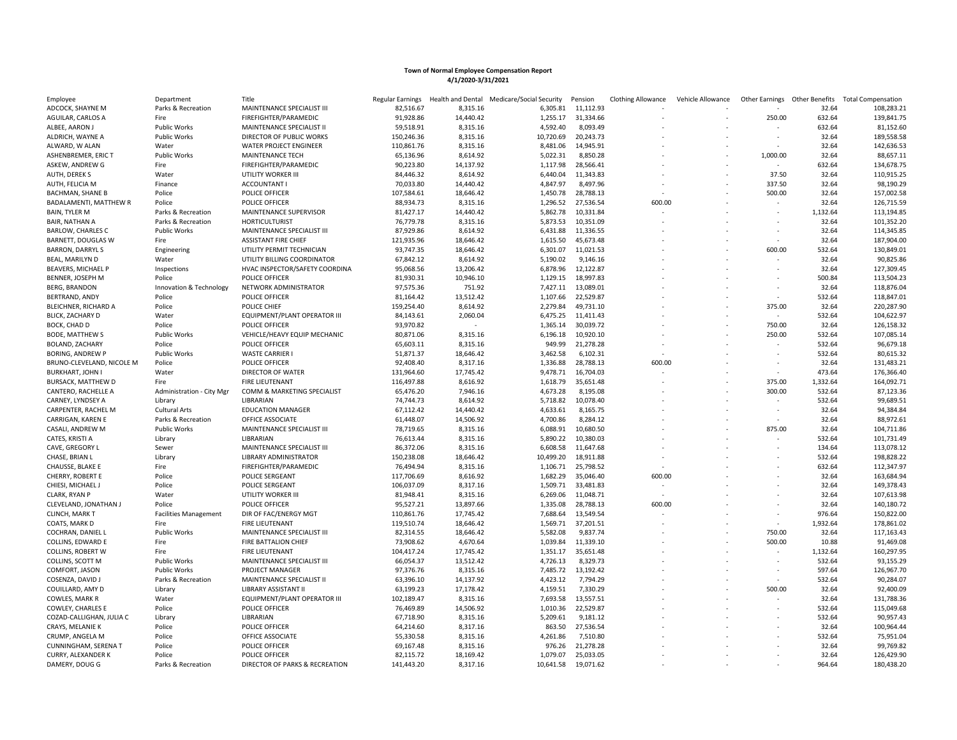| Employee                  | Department                   | Title                          | Regular Earnings | Health and Dental | Medicare/Social Security | Pension   | <b>Clothing Allowance</b> | Vehicle Allowance |                          | Other Earnings Other Benefits | <b>Total Compensation</b> |
|---------------------------|------------------------------|--------------------------------|------------------|-------------------|--------------------------|-----------|---------------------------|-------------------|--------------------------|-------------------------------|---------------------------|
| ADCOCK, SHAYNE M          | Parks & Recreation           | MAINTENANCE SPECIALIST III     | 82,516.67        | 8,315.16          | 6,305.81                 | 11,112.93 |                           |                   |                          | 32.64                         | 108,283.21                |
| AGUILAR, CARLOS A         | Fire                         | FIREFIGHTER/PARAMEDIC          | 91,928.86        | 14,440.42         | 1,255.17                 | 31,334.66 |                           |                   | 250.00                   | 632.64                        | 139,841.75                |
| ALBEE, AARON J            | Public Works                 | MAINTENANCE SPECIALIST II      | 59,518.91        | 8,315.16          | 4,592.40                 | 8,093.49  |                           |                   |                          | 632.64                        | 81,152.60                 |
| ALDRICH, WAYNE A          | <b>Public Works</b>          | DIRECTOR OF PUBLIC WORKS       | 150,246.36       | 8,315.16          | 10,720.69                | 20,243.73 |                           |                   |                          | 32.64                         | 189,558.58                |
| ALWARD, W ALAN            | Water                        | WATER PROJECT ENGINEER         | 110,861.76       | 8,315.16          | 8,481.06                 | 14,945.91 |                           |                   |                          | 32.64                         | 142,636.53                |
| ASHENBREMER, ERIC T       | <b>Public Works</b>          | <b>MAINTENANCE TECH</b>        | 65,136.96        | 8,614.92          | 5,022.31                 | 8,850.28  |                           |                   | 1,000.00                 | 32.64                         | 88,657.11                 |
| ASKEW, ANDREW G           | Fire                         | FIREFIGHTER/PARAMEDIC          | 90,223.80        | 14,137.92         | 1,117.98                 | 28,566.41 |                           |                   |                          | 632.64                        | 134,678.75                |
| AUTH, DEREK S             | Water                        | UTILITY WORKER III             | 84,446.32        | 8,614.92          | 6,440.04                 | 11,343.83 |                           |                   | 37.50                    | 32.64                         | 110,915.25                |
| AUTH, FELICIA M           | Finance                      | <b>ACCOUNTANT I</b>            | 70,033.80        | 14,440.42         | 4,847.97                 | 8,497.96  |                           |                   | 337.50                   | 32.64                         | 98,190.29                 |
| <b>BACHMAN, SHANE B</b>   | Police                       | POLICE OFFICER                 | 107,584.61       | 18,646.42         | 1,450.78                 | 28,788.13 |                           |                   | 500.00                   | 32.64                         | 157,002.58                |
| BADALAMENTI, MATTHEW R    | Police                       | <b>POLICE OFFICER</b>          | 88,934.73        | 8,315.16          | 1,296.52                 | 27,536.54 | 600.00                    |                   |                          | 32.64                         | 126,715.59                |
| <b>BAIN, TYLER M</b>      | Parks & Recreation           | <b>MAINTENANCE SUPERVISOR</b>  | 81,427.17        | 14,440.42         | 5,862.78                 | 10,331.84 |                           |                   |                          | 1,132.64                      | 113,194.85                |
| BAIR, NATHAN A            | Parks & Recreation           | <b>HORTICULTURIST</b>          | 76,779.78        | 8,315.16          | 5,873.53                 | 10,351.09 |                           |                   |                          | 32.64                         | 101,352.20                |
|                           |                              |                                |                  |                   |                          |           |                           |                   |                          | 32.64                         |                           |
| BARLOW, CHARLES C         | <b>Public Works</b>          | MAINTENANCE SPECIALIST III     | 87,929.86        | 8,614.92          | 6,431.88                 | 11,336.55 |                           |                   |                          |                               | 114,345.85                |
| BARNETT, DOUGLAS W        | Fire                         | <b>ASSISTANT FIRE CHIEF</b>    | 121,935.96       | 18,646.42         | 1,615.50                 | 45,673.48 |                           |                   |                          | 32.64                         | 187,904.00                |
| <b>BARRON, DARRYL S</b>   | Engineering                  | UTILITY PERMIT TECHNICIAN      | 93,747.35        | 18,646.42         | 6,301.07                 | 11,021.53 |                           |                   | 600.00                   | 532.64                        | 130,849.01                |
| BEAL, MARILYN D           | Water                        | UTILITY BILLING COORDINATOR    | 67,842.12        | 8,614.92          | 5,190.02                 | 9,146.16  |                           |                   |                          | 32.64                         | 90,825.86                 |
| BEAVERS, MICHAEL P        | Inspections                  | HVAC INSPECTOR/SAFETY COORDINA | 95,068.56        | 13,206.42         | 6,878.96                 | 12,122.87 |                           |                   |                          | 32.64                         | 127,309.45                |
| <b>BENNER, JOSEPH M</b>   | Police                       | POLICE OFFICER                 | 81,930.31        | 10,946.10         | 1,129.15                 | 18,997.83 |                           |                   |                          | 500.84                        | 113,504.23                |
| <b>BERG, BRANDON</b>      | Innovation & Technology      | NETWORK ADMINISTRATOR          | 97,575.36        | 751.92            | 7,427.11                 | 13,089.01 |                           |                   |                          | 32.64                         | 118,876.04                |
| BERTRAND, ANDY            | Police                       | POLICE OFFICER                 | 81,164.42        | 13,512.42         | 1,107.66                 | 22,529.87 |                           |                   |                          | 532.64                        | 118,847.01                |
| BLEICHNER, RICHARD A      | Police                       | POLICE CHIEF                   | 159,254.40       | 8,614.92          | 2,279.84                 | 49,731.10 |                           |                   | 375.00                   | 32.64                         | 220,287.90                |
| <b>BLICK, ZACHARY D</b>   | Water                        | EQUIPMENT/PLANT OPERATOR III   | 84,143.61        | 2,060.04          | 6,475.25                 | 11,411.43 |                           |                   |                          | 532.64                        | 104,622.97                |
| BOCK, CHAD D              | Police                       | POLICE OFFICER                 | 93,970.82        | $\sim$            | 1,365.14                 | 30,039.72 |                           |                   | 750.00                   | 32.64                         | 126,158.32                |
| <b>BODE, MATTHEW S</b>    | <b>Public Works</b>          | VEHICLE/HEAVY EQUIP MECHANIC   | 80,871.06        | 8,315.16          | 6,196.18                 | 10,920.10 |                           |                   | 250.00                   | 532.64                        | 107,085.14                |
| BOLAND, ZACHARY           | Police                       | POLICE OFFICER                 | 65,603.11        | 8,315.16          | 949.99                   | 21,278.28 |                           |                   |                          | 532.64                        | 96,679.18                 |
| <b>BORING, ANDREW P</b>   | <b>Public Works</b>          | <b>WASTE CARRIER</b>           | 51,871.37        | 18,646.42         | 3,462.58                 | 6,102.31  |                           |                   |                          | 532.64                        | 80,615.32                 |
| BRUNO-CLEVELAND, NICOLE M | Police                       | POLICE OFFICER                 | 92,408.40        | 8,317.16          | 1,336.88                 | 28,788.13 | 600.00                    |                   |                          | 32.64                         | 131,483.21                |
| <b>BURKHART, JOHN I</b>   | Water                        | DIRECTOR OF WATER              | 131,964.60       | 17,745.42         | 9,478.71                 | 16,704.03 |                           |                   | $\sim$                   | 473.64                        | 176,366.40                |
| <b>BURSACK, MATTHEW D</b> | Fire                         | <b>FIRE LIEUTENANT</b>         | 116,497.88       | 8,616.92          | 1,618.79                 | 35,651.48 |                           |                   | 375.00                   | 1,332.64                      | 164,092.71                |
| CANTERO, RACHELLE A       | Administration - City Mgr    | COMM & MARKETING SPECIALIST    | 65,476.20        | 7,946.16          | 4,673.28                 | 8,195.08  |                           |                   | 300.00                   | 532.64                        | 87,123.36                 |
| CARNEY, LYNDSEY A         | Library                      | LIBRARIAN                      | 74,744.73        | 8,614.92          | 5,718.82                 | 10,078.40 |                           |                   | $\overline{\phantom{a}}$ | 532.64                        | 99,689.51                 |
| CARPENTER, RACHEL M       | <b>Cultural Arts</b>         | EDUCATION MANAGER              | 67,112.42        | 14,440.42         | 4,633.61                 | 8,165.75  |                           |                   |                          | 32.64                         | 94,384.84                 |
|                           |                              | OFFICE ASSOCIATE               | 61,448.07        | 14,506.92         | 4,700.86                 | 8,284.12  |                           |                   |                          | 32.64                         | 88,972.61                 |
| CARRIGAN, KAREN E         | Parks & Recreation           |                                |                  |                   |                          |           |                           |                   |                          |                               |                           |
| CASALI, ANDREW M          | <b>Public Works</b>          | MAINTENANCE SPECIALIST III     | 78,719.65        | 8,315.16          | 6,088.91                 | 10,680.50 |                           |                   | 875.00                   | 32.64                         | 104,711.86                |
| CATES, KRISTI A           | Library                      | LIBRARIAN                      | 76,613.44        | 8,315.16          | 5,890.22                 | 10,380.03 |                           |                   |                          | 532.64                        | 101,731.49                |
| CAVE, GREGORY L           | Sewer                        | MAINTENANCE SPECIALIST III     | 86,372.06        | 8,315.16          | 6,608.58                 | 11,647.68 |                           |                   |                          | 134.64                        | 113,078.12                |
| CHASE, BRIAN L            | Library                      | LIBRARY ADMINISTRATOR          | 150,238.08       | 18,646.42         | 10,499.20                | 18,911.88 |                           |                   |                          | 532.64                        | 198,828.22                |
| CHAUSSE, BLAKE E          | Fire                         | FIREFIGHTER/PARAMEDIC          | 76,494.94        | 8,315.16          | 1,106.71                 | 25,798.52 |                           |                   |                          | 632.64                        | 112,347.97                |
| CHERRY, ROBERT E          | Police                       | POLICE SERGEANT                | 117,706.69       | 8,616.92          | 1,682.29                 | 35,046.40 | 600.00                    |                   |                          | 32.64                         | 163,684.94                |
| CHIESI, MICHAEL J         | Police                       | POLICE SERGEANT                | 106,037.09       | 8,317.16          | 1,509.71                 | 33,481.83 | $\overline{a}$            |                   |                          | 32.64                         | 149,378.43                |
| CLARK, RYAN P             | Water                        | UTILITY WORKER III             | 81,948.41        | 8,315.16          | 6,269.06                 | 11,048.71 | $\sim$                    |                   |                          | 32.64                         | 107,613.98                |
| CLEVELAND, JONATHAN J     | Police                       | POLICE OFFICER                 | 95,527.21        | 13,897.66         | 1,335.08                 | 28,788.13 | 600.00                    |                   |                          | 32.64                         | 140,180.72                |
| CLINCH, MARK T            | <b>Facilities Management</b> | DIR OF FAC/ENERGY MGT          | 110,861.76       | 17,745.42         | 7,688.64                 | 13,549.54 |                           |                   |                          | 976.64                        | 150,822.00                |
| COATS, MARK D             | Fire                         | FIRE LIEUTENANT                | 119,510.74       | 18,646.42         | 1,569.71                 | 37,201.51 |                           |                   |                          | 1,932.64                      | 178,861.02                |
| COCHRAN, DANIEL L         | Public Works                 | MAINTENANCE SPECIALIST III     | 82,314.55        | 18,646.42         | 5,582.08                 | 9,837.74  |                           |                   | 750.00                   | 32.64                         | 117,163.43                |
| COLLINS, EDWARD E         | Fire                         | FIRE BATTALION CHIEF           | 73,908.62        | 4,670.64          | 1,039.84                 | 11,339.10 |                           |                   | 500.00                   | 10.88                         | 91,469.08                 |
| COLLINS, ROBERT W         | Fire                         | <b>FIRE LIEUTENANT</b>         | 104,417.24       | 17,745.42         | 1,351.17                 | 35,651.48 |                           |                   |                          | 1,132.64                      | 160,297.95                |
| COLLINS, SCOTT M          | <b>Public Works</b>          | MAINTENANCE SPECIALIST III     | 66,054.37        | 13,512.42         | 4,726.13                 | 8,329.73  |                           |                   |                          | 532.64                        | 93,155.29                 |
| COMFORT, JASON            | <b>Public Works</b>          | PROJECT MANAGER                | 97,376.76        | 8,315.16          | 7,485.72                 | 13,192.42 |                           |                   |                          | 597.64                        | 126,967.70                |
| COSENZA, DAVID J          | Parks & Recreation           | MAINTENANCE SPECIALIST II      | 63,396.10        | 14,137.92         | 4,423.12                 | 7,794.29  |                           |                   |                          | 532.64                        | 90,284.07                 |
| COUILLARD, AMY D          | Library                      | LIBRARY ASSISTANT II           | 63,199.23        | 17,178.42         | 4,159.51                 | 7,330.29  |                           |                   | 500.00                   | 32.64                         | 92,400.09                 |
| COWLES, MARK R            | Water                        | EQUIPMENT/PLANT OPERATOR III   | 102,189.47       | 8,315.16          | 7,693.58                 | 13,557.51 |                           |                   |                          | 32.64                         | 131,788.36                |
| COWLEY, CHARLES E         | Police                       | POLICE OFFICER                 | 76,469.89        | 14,506.92         | 1,010.36                 | 22,529.87 |                           |                   |                          | 532.64                        | 115,049.68                |
| COZAD-CALLIGHAN, JULIA C  | Library                      | LIBRARIAN                      | 67,718.90        | 8,315.16          | 5,209.61                 | 9,181.12  |                           |                   |                          | 532.64                        | 90,957.43                 |
| CRAYS, MELANIE K          | Police                       | POLICE OFFICER                 | 64,214.60        | 8,317.16          | 863.50                   | 27,536.54 |                           |                   |                          | 32.64                         | 100,964.44                |
|                           | Police                       | OFFICE ASSOCIATE               | 55,330.58        |                   | 4,261.86                 | 7,510.80  |                           |                   |                          | 532.64                        | 75,951.04                 |
| CRUMP, ANGELA M           |                              |                                |                  | 8,315.16          |                          |           |                           |                   |                          |                               |                           |
| CUNNINGHAM, SERENA T      | Police                       | POLICE OFFICER                 | 69,167.48        | 8,315.16          | 976.26                   | 21,278.28 |                           |                   |                          | 32.64                         | 99,769.82                 |
| CURRY, ALEXANDER K        | Police                       | POLICE OFFICER                 | 82,115.72        | 18.169.42         | 1.079.07                 | 25.033.05 |                           |                   |                          | 32.64                         | 126,429.90                |
| DAMERY, DOUG G            | Parks & Recreation           | DIRECTOR OF PARKS & RECREATION | 141,443.20       | 8,317.16          | 10,641.58                | 19,071.62 |                           |                   |                          | 964.64                        | 180,438.20                |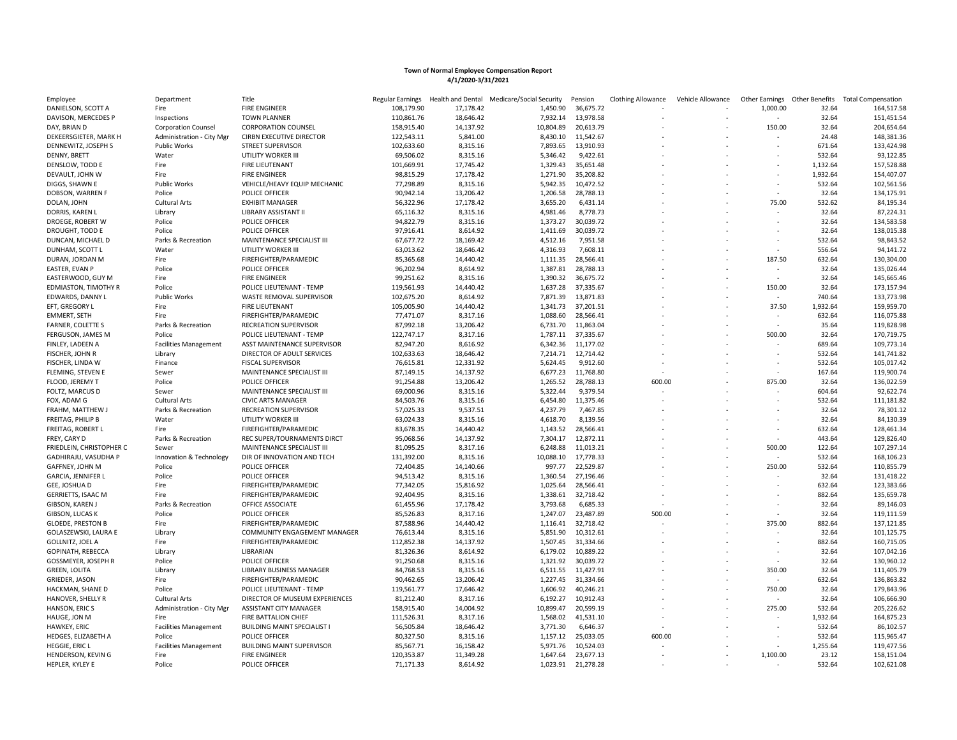| Employee                            | Department                   | Title                              | Regular Earnings |           | Health and Dental Medicare/Social Security | Pension            | <b>Clothing Allowance</b> | Vehicle Allowance | Other Earnings           | Other Benefits | <b>Total Compensation</b> |
|-------------------------------------|------------------------------|------------------------------------|------------------|-----------|--------------------------------------------|--------------------|---------------------------|-------------------|--------------------------|----------------|---------------------------|
| DANIELSON, SCOTT A                  | Fire                         | <b>FIRE ENGINEER</b>               | 108,179.90       | 17,178.42 | 1,450.90                                   | 36,675.72          |                           |                   | 1,000.00                 | 32.64          | 164,517.58                |
| DAVISON, MERCEDES P                 | Inspections                  | <b>TOWN PLANNER</b>                | 110,861.76       | 18,646.42 | 7,932.14                                   | 13,978.58          |                           |                   |                          | 32.64          | 151,451.54                |
| DAY, BRIAN D                        | <b>Corporation Counsel</b>   | <b>CORPORATION COUNSEL</b>         | 158,915.40       | 14,137.92 | 10,804.89                                  | 20,613.79          |                           |                   | 150.00                   | 32.64          | 204,654.64                |
| DEKEERSGIETER, MARK H               | Administration - City Mgr    | <b>CIRBN EXECUTIVE DIRECTOR</b>    | 122,543.11       | 5,841.00  | 8,430.10                                   | 11,542.67          |                           |                   | $\sim$                   | 24.48          | 148,381.36                |
| DENNEWITZ, JOSEPH S                 | <b>Public Works</b>          | <b>STREET SUPERVISOR</b>           | 102,633.60       | 8,315.16  | 7,893.65                                   | 13,910.93          |                           |                   | $\sim$                   | 671.64         | 133,424.98                |
| DENNY, BRETT                        | Water                        | UTILITY WORKER III                 | 69,506.02        | 8,315.16  | 5,346.42                                   | 9,422.61           |                           |                   |                          | 532.64         | 93,122.85                 |
| DENSLOW, TODD E                     | Fire                         | FIRE LIEUTENANT                    | 101,669.91       | 17,745.42 | 1,329.43                                   | 35,651.48          |                           |                   |                          | 1,132.64       | 157,528.88                |
| DEVAULT, JOHN W                     | Fire                         | <b>FIRE ENGINEER</b>               | 98,815.29        | 17,178.42 | 1,271.90                                   | 35,208.82          |                           |                   |                          | 1,932.64       | 154,407.07                |
| DIGGS, SHAWN E                      | <b>Public Works</b>          | VEHICLE/HEAVY EQUIP MECHANIC       | 77,298.89        | 8,315.16  | 5,942.35                                   | 10,472.52          |                           |                   |                          | 532.64         | 102,561.56                |
| DOBSON, WARREN F                    | Police                       | POLICE OFFICER                     | 90,942.14        | 13,206.42 | 1,206.58                                   | 28,788.13          |                           |                   |                          | 32.64          | 134,175.91                |
| DOLAN, JOHN                         | Cultural Arts                | <b>EXHIBIT MANAGER</b>             | 56,322.96        | 17,178.42 | 3,655.20                                   | 6,431.14           |                           |                   | 75.00                    | 532.62         | 84,195.34                 |
|                                     |                              | LIBRARY ASSISTANT II               | 65,116.32        | 8,315.16  | 4,981.46                                   | 8,778.73           |                           |                   |                          | 32.64          | 87,224.31                 |
| DORRIS, KAREN L<br>DROEGE, ROBERT W | Library<br>Police            | POLICE OFFICER                     | 94,822.79        | 8,315.16  | 1,373.27                                   | 30,039.72          |                           |                   | $\sim$                   | 32.64          | 134,583.58                |
|                                     |                              |                                    |                  |           |                                            |                    |                           |                   |                          |                |                           |
| DROUGHT, TODD E                     | Police                       | POLICE OFFICER                     | 97,916.41        | 8,614.92  | 1,411.69                                   | 30,039.72          |                           |                   |                          | 32.64          | 138,015.38                |
| DUNCAN, MICHAEL D                   | Parks & Recreation           | MAINTENANCE SPECIALIST III         | 67,677.72        | 18,169.42 | 4,512.16                                   | 7,951.58           |                           |                   | $\sim$                   | 532.64         | 98,843.52                 |
| DUNHAM, SCOTT L                     | Water                        | UTILITY WORKER III                 | 63,013.62        | 18,646.42 | 4,316.93                                   | 7,608.11           |                           |                   | $\sim$                   | 556.64         | 94,141.72                 |
| DURAN, JORDAN M                     | Fire                         | FIREFIGHTER/PARAMEDIC              | 85,365.68        | 14,440.42 | 1,111.35                                   | 28,566.41          |                           |                   | 187.50                   | 632.64         | 130,304.00                |
| EASTER, EVAN P                      | Police                       | <b>POLICE OFFICER</b>              | 96,202.94        | 8,614.92  | 1,387.81                                   | 28,788.13          |                           |                   |                          | 32.64          | 135,026.44                |
| EASTERWOOD, GUY M                   | Fire                         | <b>FIRE ENGINEER</b>               | 99,251.62        | 8,315.16  | 1,390.32                                   | 36,675.72          |                           |                   |                          | 32.64          | 145,665.46                |
| EDMIASTON, TIMOTHY R                | Police                       | POLICE LIEUTENANT - TEMP           | 119,561.93       | 14,440.42 | 1,637.28                                   | 37,335.67          |                           |                   | 150.00                   | 32.64          | 173,157.94                |
| EDWARDS, DANNY L                    | <b>Public Works</b>          | WASTE REMOVAL SUPERVISOR           | 102,675.20       | 8,614.92  | 7,871.39                                   | 13,871.83          |                           |                   | $\overline{\phantom{a}}$ | 740.64         | 133,773.98                |
| EFT, GREGORY L                      | Fire                         | <b>FIRE LIEUTENANT</b>             | 105,005.90       | 14,440.42 | 1,341.73                                   | 37,201.51          |                           |                   | 37.50                    | 1,932.64       | 159,959.70                |
| <b>EMMERT, SETH</b>                 | Fire                         | FIREFIGHTER/PARAMEDIC              | 77,471.07        | 8,317.16  | 1,088.60                                   | 28,566.41          |                           |                   |                          | 632.64         | 116,075.88                |
| <b>FARNER, COLETTE S</b>            | Parks & Recreation           | RECREATION SUPERVISOR              | 87,992.18        | 13,206.42 | 6,731.70                                   | 11,863.04          |                           |                   | $\sim$                   | 35.64          | 119,828.98                |
| FERGUSON, JAMES M                   | Police                       | POLICE LIEUTENANT - TEMP           | 122,747.17       | 8,317.16  | 1,787.11                                   | 37,335.67          |                           |                   | 500.00                   | 32.64          | 170,719.75                |
| FINLEY, LADEEN A                    | <b>Facilities Management</b> | ASST MAINTENANCE SUPERVISOR        | 82,947.20        | 8,616.92  | 6,342.36                                   | 11,177.02          |                           |                   | $\sim$                   | 689.64         | 109,773.14                |
| FISCHER, JOHN R                     | Library                      | DIRECTOR OF ADULT SERVICES         | 102,633.63       | 18,646.42 | 7,214.71                                   | 12,714.42          |                           |                   |                          | 532.64         | 141,741.82                |
| FISCHER, LINDA W                    | Finance                      | <b>FISCAL SUPERVISOR</b>           | 76,615.81        | 12,331.92 | 5,624.45                                   | 9,912.60           |                           |                   | $\sim$                   | 532.64         | 105,017.42                |
| FLEMING, STEVEN E                   | Sewer                        | MAINTENANCE SPECIALIST III         | 87,149.15        | 14,137.92 | 6,677.23                                   | 11,768.80          |                           |                   | $\sim$                   | 167.64         | 119,900.74                |
| FLOOD, JEREMY T                     | Police                       | POLICE OFFICER                     | 91,254.88        | 13,206.42 | 1,265.52                                   | 28,788.13          | 600.00                    |                   | 875.00                   | 32.64          | 136,022.59                |
| FOLTZ, MARCUS D                     | Sewer                        | MAINTENANCE SPECIALIST III         | 69,000.96        | 8,315.16  | 5,322.44                                   | 9,379.54           |                           |                   |                          | 604.64         | 92,622.74                 |
| FOX, ADAM G                         | <b>Cultural Arts</b>         | <b>CIVIC ARTS MANAGER</b>          | 84,503.76        | 8,315.16  | 6,454.80                                   | 11,375.46          |                           |                   |                          | 532.64         | 111,181.82                |
| FRAHM, MATTHEW J                    | Parks & Recreation           | RECREATION SUPERVISOR              | 57,025.33        | 9,537.51  | 4,237.79                                   | 7,467.85           |                           |                   |                          | 32.64          | 78,301.12                 |
| FREITAG, PHILIP B                   | Water                        | UTILITY WORKER III                 | 63,024.33        | 8,315.16  | 4,618.70                                   | 8,139.56           |                           |                   |                          | 32.64          | 84,130.39                 |
| FREITAG, ROBERT L                   | Fire                         | FIREFIGHTER/PARAMEDIC              | 83,678.35        | 14,440.42 | 1,143.52                                   | 28,566.41          |                           |                   |                          | 632.64         | 128,461.34                |
|                                     |                              |                                    |                  |           |                                            |                    |                           |                   |                          |                | 129,826.40                |
| FREY, CARY D                        | Parks & Recreation           | REC SUPER/TOURNAMENTS DIRCT        | 95,068.56        | 14,137.92 | 7,304.17                                   | 12,872.11          |                           |                   |                          | 443.64         |                           |
| FRIEDLEIN, CHRISTOPHER C            | Sewer                        | MAINTENANCE SPECIALIST III         | 81,095.25        | 8,317.16  | 6,248.88                                   | 11,013.21          |                           |                   | 500.00                   | 122.64         | 107,297.14                |
| GADHIRAJU, VASUDHA P                | Innovation & Technology      | DIR OF INNOVATION AND TECH         | 131,392.00       | 8,315.16  | 10,088.10                                  | 17,778.33          |                           |                   | $\overline{\phantom{a}}$ | 532.64         | 168,106.23                |
| GAFFNEY, JOHN M                     | Police                       | <b>POLICE OFFICER</b>              | 72,404.85        | 14,140.66 | 997.77                                     | 22,529.87          |                           |                   | 250.00                   | 532.64         | 110,855.79                |
| GARCIA, JENNIFER L                  | Police                       | POLICE OFFICER                     | 94,513.42        | 8,315.16  | 1,360.54                                   | 27,196.46          |                           |                   |                          | 32.64          | 131,418.22                |
| GEE, JOSHUA D                       | Fire                         | FIREFIGHTER/PARAMEDIC              | 77,342.05        | 15,816.92 | 1,025.64                                   | 28,566.41          |                           |                   | $\sim$                   | 632.64         | 123,383.66                |
| GERRIETTS, ISAAC M                  | Fire                         | FIREFIGHTER/PARAMEDIC              | 92,404.95        | 8,315.16  | 1,338.61                                   | 32,718.42          |                           |                   |                          | 882.64         | 135,659.78                |
| GIBSON, KAREN J                     | Parks & Recreation           | OFFICE ASSOCIATE                   | 61,455.96        | 17,178.42 | 3,793.68                                   | 6,685.33           |                           |                   |                          | 32.64          | 89,146.03                 |
| GIBSON, LUCAS K                     | Police                       | POLICE OFFICER                     | 85,526.83        | 8,317.16  | 1,247.07                                   | 23,487.89          | 500.00                    |                   |                          | 32.64          | 119,111.59                |
| <b>GLOEDE, PRESTON B</b>            | Fire                         | FIREFIGHTER/PARAMEDIC              | 87,588.96        | 14,440.42 | 1,116.41                                   | 32,718.42          |                           |                   | 375.00                   | 882.64         | 137,121.85                |
| GOLASZEWSKI, LAURA E                | Library                      | COMMUNITY ENGAGEMENT MANAGER       | 76,613.44        | 8,315.16  | 5,851.90                                   | 10,312.61          |                           |                   |                          | 32.64          | 101,125.75                |
| GOLLNITZ, JOEL A                    | Fire                         | FIREFIGHTER/PARAMEDIC              | 112,852.38       | 14,137.92 | 1,507.45                                   | 31,334.66          |                           |                   |                          | 882.64         | 160,715.05                |
| GOPINATH, REBECCA                   | Library                      | LIBRARIAN                          | 81,326.36        | 8,614.92  | 6,179.02                                   | 10,889.22          |                           |                   |                          | 32.64          | 107,042.16                |
| GOSSMEYER, JOSEPH R                 | Police                       | POLICE OFFICER                     | 91,250.68        | 8,315.16  | 1,321.92                                   | 30,039.72          |                           |                   |                          | 32.64          | 130,960.12                |
| GREEN, LOLITA                       | Library                      | LIBRARY BUSINESS MANAGER           | 84,768.53        | 8,315.16  | 6,511.55                                   | 11,427.91          |                           |                   | 350.00                   | 32.64          | 111,405.79                |
| GRIEDER, JASON                      | Fire                         | FIREFIGHTER/PARAMEDIC              | 90,462.65        | 13,206.42 | 1,227.45                                   | 31,334.66          |                           |                   | $\overline{\phantom{a}}$ | 632.64         | 136,863.82                |
| HACKMAN, SHANE D                    | Police                       | POLICE LIEUTENANT - TEMP           | 119,561.77       | 17,646.42 | 1,606.92                                   | 40,246.21          |                           |                   | 750.00                   | 32.64          | 179,843.96                |
| HANOVER, SHELLY R                   | <b>Cultural Arts</b>         | DIRECTOR OF MUSEUM EXPERIENCES     | 81,212.40        | 8,317.16  | 6,192.27                                   | 10,912.43          |                           |                   |                          | 32.64          | 106,666.90                |
| HANSON, ERIC S                      | Administration - City Mgr    | ASSISTANT CITY MANAGER             | 158,915.40       | 14,004.92 | 10,899.47                                  | 20,599.19          |                           |                   | 275.00                   | 532.64         | 205,226.62                |
| HAUGE, JON M                        | Fire                         | FIRE BATTALION CHIEF               | 111,526.31       | 8,317.16  | 1,568.02                                   | 41,531.10          |                           |                   |                          | 1,932.64       | 164,875.23                |
| HAWKEY, ERIC                        | <b>Facilities Management</b> | <b>BUILDING MAINT SPECIALIST I</b> | 56,505.84        | 18,646.42 | 3,771.30                                   | 6,646.37           |                           |                   |                          | 532.64         | 86,102.57                 |
|                                     | Police                       | POLICE OFFICER                     |                  |           |                                            | 25,033.05          | 600.00                    |                   |                          | 532.64         |                           |
| HEDGES, ELIZABETH A                 |                              |                                    | 80,327.50        | 8,315.16  | 1,157.12                                   |                    |                           |                   |                          |                | 115,965.47                |
| HEGGIE, ERIC L                      | <b>Facilities Management</b> | <b>BUILDING MAINT SUPERVISOR</b>   | 85,567.71        | 16,158.42 | 5,971.76                                   | 10,524.03          |                           |                   |                          | 1,255.64       | 119,477.56                |
| HENDERSON, KEVIN G                  | Fire                         | <b>FIRE ENGINEER</b>               | 120,353.87       | 11.349.28 |                                            | 1,647.64 23,677.13 |                           |                   | 1,100.00                 | 23.12          | 158,151.04                |
| HEPLER, KYLEY E                     | Police                       | POLICE OFFICER                     | 71,171.33        | 8,614.92  | 1,023.91                                   | 21,278.28          |                           |                   |                          | 532.64         | 102,621.08                |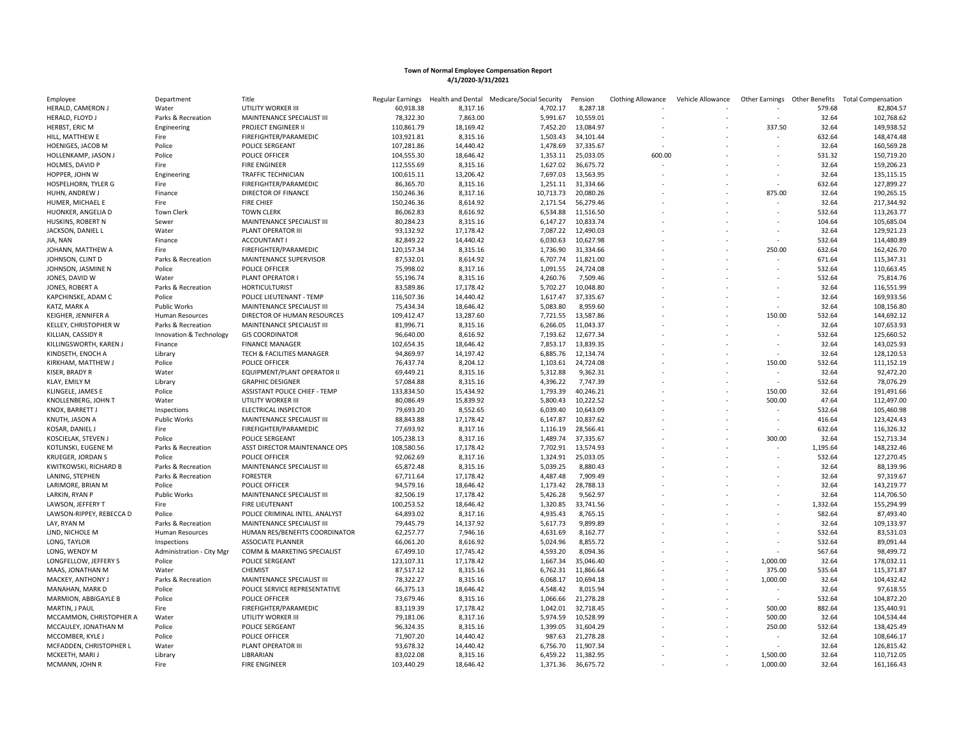| Employee                 | Department                | Title                          | Regular Earnings | Health and Dental | Medicare/Social Security | Pension            | <b>Clothing Allowance</b> | Vehicle Allowance | Other Earnings Other Benefits |          | <b>Total Compensation</b> |
|--------------------------|---------------------------|--------------------------------|------------------|-------------------|--------------------------|--------------------|---------------------------|-------------------|-------------------------------|----------|---------------------------|
| HERALD, CAMERON J        | Water                     | UTILITY WORKER III             | 60,918.38        | 8,317.16          | 4,702.17                 | 8,287.18           |                           |                   |                               | 579.68   | 82,804.57                 |
| HERALD, FLOYD J          | Parks & Recreation        | MAINTENANCE SPECIALIST III     | 78,322.30        | 7,863.00          | 5,991.67                 | 10,559.01          |                           |                   |                               | 32.64    | 102,768.62                |
| HERBST, ERIC M           | Engineering               | PROJECT ENGINEER II            | 110,861.79       | 18,169.42         | 7,452.20                 | 13,084.97          |                           |                   | 337.50                        | 32.64    | 149,938.52                |
| HILL, MATTHEW E          | Fire                      | FIREFIGHTER/PARAMEDIC          | 103,921.81       | 8,315.16          | 1,503.43                 | 34,101.44          |                           |                   |                               | 632.64   | 148,474.48                |
| HOENIGES, JACOB M        | Police                    | POLICE SERGEANT                | 107,281.86       | 14,440.42         | 1,478.69                 | 37,335.67          |                           |                   |                               | 32.64    | 160,569.28                |
| HOLLENKAMP, JASON J      | Police                    | POLICE OFFICER                 | 104,555.30       | 18,646.42         | 1,353.11                 | 25,033.05          | 600.00                    |                   |                               | 531.32   | 150,719.20                |
| HOLMES, DAVID P          | Fire                      | <b>FIRE ENGINEER</b>           | 112,555.69       | 8,315.16          | 1,627.02                 | 36,675.72          |                           |                   |                               | 32.64    | 159,206.23                |
| HOPPER, JOHN W           | Engineering               | TRAFFIC TECHNICIAN             | 100,615.11       | 13,206.42         | 7,697.03                 | 13,563.95          |                           |                   |                               | 32.64    | 135,115.15                |
| HOSPELHORN, TYLER G      | Fire                      | FIREFIGHTER/PARAMEDIC          | 86,365.70        | 8,315.16          | 1,251.11                 | 31,334.66          |                           |                   |                               | 632.64   | 127,899.27                |
| HUHN, ANDREW J           | Finance                   | DIRECTOR OF FINANCE            | 150,246.36       | 8,317.16          | 10,713.73                | 20,080.26          |                           |                   | 875.00                        | 32.64    | 190,265.15                |
|                          |                           |                                |                  |                   | 2,171.54                 |                    |                           |                   |                               | 32.64    |                           |
| HUMER, MICHAEL E         | Fire                      | <b>FIRE CHIEF</b>              | 150,246.36       | 8,614.92          |                          | 56,279.46          |                           |                   |                               |          | 217,344.92                |
| HUONKER, ANGELIA D       | Town Clerk                | <b>TOWN CLERK</b>              | 86,062.83        | 8,616.92          | 6,534.88                 | 11,516.50          |                           |                   | $\overline{\phantom{a}}$      | 532.64   | 113,263.77                |
| HUSKINS, ROBERT N        | Sewer                     | MAINTENANCE SPECIALIST III     | 80,284.23        | 8,315.16          | 6,147.27                 | 10,833.74          |                           |                   |                               | 104.64   | 105,685.04                |
| JACKSON, DANIEL L        | Water                     | PLANT OPERATOR III             | 93,132.92        | 17,178.42         | 7,087.22                 | 12,490.03          |                           |                   |                               | 32.64    | 129,921.23                |
| JIA, NAN                 | Finance                   | <b>ACCOUNTANT I</b>            | 82,849.22        | 14,440.42         | 6,030.63                 | 10,627.98          |                           |                   |                               | 532.64   | 114,480.89                |
| JOHANN, MATTHEW A        | Fire                      | FIREFIGHTER/PARAMEDIC          | 120,157.34       | 8,315.16          | 1,736.90                 | 31,334.66          |                           |                   | 250.00                        | 632.64   | 162,426.70                |
| JOHNSON, CLINT D         | Parks & Recreation        | MAINTENANCE SUPERVISOR         | 87,532.01        | 8,614.92          | 6,707.74                 | 11,821.00          |                           |                   |                               | 671.64   | 115,347.31                |
| JOHNSON, JASMINE N       | Police                    | POLICE OFFICER                 | 75,998.02        | 8,317.16          | 1,091.55                 | 24,724.08          |                           |                   |                               | 532.64   | 110,663.45                |
| JONES, DAVID W           | Water                     | PLANT OPERATOR                 | 55,196.74        | 8,315.16          | 4,260.76                 | 7,509.46           |                           |                   |                               | 532.64   | 75,814.76                 |
| JONES, ROBERT A          | Parks & Recreation        | <b>HORTICULTURIST</b>          | 83,589.86        | 17,178.42         | 5,702.27                 | 10,048.80          |                           |                   |                               | 32.64    | 116,551.99                |
| KAPCHINSKE, ADAM C       | Police                    | POLICE LIEUTENANT - TEMP       | 116,507.36       | 14,440.42         | 1,617.47                 | 37,335.67          |                           |                   |                               | 32.64    | 169,933.56                |
| KATZ, MARK A             | <b>Public Works</b>       | MAINTENANCE SPECIALIST III     | 75,434.34        | 18,646.42         | 5,083.80                 | 8,959.60           |                           |                   |                               | 32.64    | 108,156.80                |
| KEIGHER, JENNIFER A      | Human Resources           | DIRECTOR OF HUMAN RESOURCES    | 109,412.47       | 13,287.60         | 7,721.55                 | 13,587.86          |                           |                   | 150.00                        | 532.64   | 144,692.12                |
| KELLEY, CHRISTOPHER W    | Parks & Recreation        | MAINTENANCE SPECIALIST III     | 81,996.71        | 8,315.16          | 6,266.05                 | 11,043.37          |                           |                   |                               | 32.64    | 107,653.93                |
| KILLIAN, CASSIDY R       | Innovation & Technology   | <b>GIS COORDINATOR</b>         | 96,640.00        | 8,616.92          | 7,193.62                 | 12,677.34          |                           |                   |                               | 532.64   | 125,660.52                |
| KILLINGSWORTH, KAREN J   | Finance                   | <b>FINANCE MANAGER</b>         | 102,654.35       | 18,646.42         | 7,853.17                 | 13,839.35          |                           |                   |                               | 32.64    | 143,025.93                |
| KINDSETH, ENOCH A        | Library                   | TECH & FACILITIES MANAGER      | 94,869.97        | 14,197.42         | 6,885.76                 | 12,134.74          |                           |                   |                               | 32.64    | 128,120.53                |
| KIRKHAM, MATTHEW J       | Police                    | POLICE OFFICER                 | 76,437.74        | 8,204.12          | 1,103.61                 | 24,724.08          |                           |                   | 150.00                        | 532.64   | 111,152.19                |
| KISER, BRADY R           | Water                     | EQUIPMENT/PLANT OPERATOR II    | 69,449.21        | 8,315.16          | 5,312.88                 | 9,362.31           |                           |                   |                               | 32.64    | 92,472.20                 |
| KLAY, EMILY M            | Library                   | <b>GRAPHIC DESIGNER</b>        | 57,084.88        | 8,315.16          | 4,396.22                 | 7,747.39           |                           |                   | ÷                             | 532.64   | 78,076.29                 |
| KLINGELE, JAMES E        | Police                    | ASSISTANT POLICE CHIEF - TEMP  | 133,834.50       | 15,434.92         | 1,793.39                 | 40,246.21          |                           |                   | 150.00                        | 32.64    | 191,491.66                |
| KNOLLENBERG, JOHN T      |                           | UTILITY WORKER III             | 80,086.49        | 15,839.92         | 5,800.43                 | 10,222.52          |                           |                   | 500.00                        | 47.64    | 112,497.00                |
|                          | Water                     |                                |                  |                   |                          |                    |                           |                   |                               |          |                           |
| KNOX, BARRETT J          | Inspections               | ELECTRICAL INSPECTOR           | 79,693.20        | 8,552.65          | 6,039.40                 | 10,643.09          |                           |                   |                               | 532.64   | 105,460.98                |
| KNUTH, JASON A           | <b>Public Works</b>       | MAINTENANCE SPECIALIST III     | 88,843.88        | 17,178.42         | 6,147.87                 | 10,837.62          |                           |                   |                               | 416.64   | 123,424.43                |
| KOSAR, DANIEL J          | Fire                      | FIREFIGHTER/PARAMEDIC          | 77,693.92        | 8,317.16          | 1,116.19                 | 28,566.41          |                           |                   |                               | 632.64   | 116,326.32                |
| KOSCIELAK, STEVEN J      | Police                    | POLICE SERGEANT                | 105,238.13       | 8,317.16          | 1,489.74                 | 37,335.67          |                           |                   | 300.00                        | 32.64    | 152,713.34                |
| KOTLINSKI, EUGENE M      | Parks & Recreation        | ASST DIRECTOR MAINTENANCE OPS  | 108,580.56       | 17,178.42         | 7,702.91                 | 13,574.93          |                           |                   |                               | 1,195.64 | 148,232.46                |
| KRUEGER, JORDAN S        | Police                    | POLICE OFFICER                 | 92,062.69        | 8,317.16          | 1.324.91                 | 25,033.05          |                           |                   |                               | 532.64   | 127,270.45                |
| KWITKOWSKI, RICHARD B    | Parks & Recreation        | MAINTENANCE SPECIALIST III     | 65,872.48        | 8,315.16          | 5,039.25                 | 8,880.43           |                           |                   |                               | 32.64    | 88,139.96                 |
| LANING, STEPHEN          | Parks & Recreation        | <b>FORESTER</b>                | 67,711.64        | 17,178.42         | 4,487.48                 | 7,909.49           |                           |                   |                               | 32.64    | 97,319.67                 |
| LARIMORE, BRIAN M        | Police                    | POLICE OFFICER                 | 94,579.16        | 18,646.42         | 1,173.42                 | 28,788.13          |                           |                   |                               | 32.64    | 143,219.77                |
| LARKIN, RYAN P           | <b>Public Works</b>       | MAINTENANCE SPECIALIST III     | 82,506.19        | 17,178.42         | 5,426.28                 | 9,562.97           |                           |                   |                               | 32.64    | 114,706.50                |
| LAWSON, JEFFERY T        | Fire                      | <b>FIRE LIEUTENANT</b>         | 100,253.52       | 18,646.42         | 1,320.85                 | 33,741.56          |                           |                   |                               | 1,332.64 | 155,294.99                |
| LAWSON-RIPPEY, REBECCA D | Police                    | POLICE CRIMINAL INTEL. ANALYST | 64,893.02        | 8,317.16          | 4,935.43                 | 8,765.15           |                           |                   |                               | 582.64   | 87,493.40                 |
| LAY, RYAN M              | Parks & Recreation        | MAINTENANCE SPECIALIST III     | 79,445.79        | 14,137.92         | 5,617.73                 | 9,899.89           |                           |                   |                               | 32.64    | 109,133.97                |
| LIND, NICHOLE M          | <b>Human Resources</b>    | HUMAN RES/BENEFITS COORDINATOR | 62,257.77        | 7,946.16          | 4,631.69                 | 8,162.77           |                           |                   |                               | 532.64   | 83,531.03                 |
| LONG, TAYLOR             | Inspections               | <b>ASSOCIATE PLANNER</b>       | 66,061.20        | 8,616.92          | 5,024.96                 | 8,855.72           |                           |                   |                               | 532.64   | 89,091.44                 |
| LONG. WENDY M            | Administration - City Mgr | COMM & MARKETING SPECIALIST    | 67,499.10        | 17,745.42         | 4,593.20                 | 8,094.36           |                           |                   |                               | 567.64   | 98,499.72                 |
| LONGFELLOW, JEFFERY S    | Police                    | POLICE SERGEANT                | 123,107.31       | 17,178.42         | 1,667.34                 | 35,046.40          |                           |                   | 1,000.00                      | 32.64    | 178,032.11                |
| MAAS, JONATHAN M         | Water                     | CHEMIST                        | 87,517.12        | 8,315.16          | 6,762.31                 | 11,866.64          |                           |                   | 375.00                        | 535.64   | 115,371.87                |
| MACKEY, ANTHONY J        | Parks & Recreation        | MAINTENANCE SPECIALIST III     | 78,322.27        | 8,315.16          | 6,068.17                 | 10,694.18          |                           |                   | 1,000.00                      | 32.64    | 104,432.42                |
| MANAHAN, MARK D          | Police                    | POLICE SERVICE REPRESENTATIVE  | 66,375.13        | 18,646.42         | 4,548.42                 | 8,015.94           |                           |                   | $\overline{\phantom{a}}$      | 32.64    | 97,618.55                 |
|                          |                           |                                |                  |                   |                          |                    |                           |                   |                               |          |                           |
| MARMION, ABBIGAYLE B     | Police                    | POLICE OFFICER                 | 73,679.46        | 8,315.16          | 1,066.66                 | 21,278.28          |                           |                   |                               | 532.64   | 104,872.20                |
| MARTIN, J PAUL           | Fire                      | FIREFIGHTER/PARAMEDIC          | 83,119.39        | 17,178.42         | 1,042.01                 | 32,718.45          |                           |                   | 500.00                        | 882.64   | 135,440.91                |
| MCCAMMON, CHRISTOPHER A  | Water                     | UTILITY WORKER III             | 79,181.06        | 8,317.16          | 5,974.59                 | 10,528.99          |                           |                   | 500.00                        | 32.64    | 104,534.44                |
| MCCAULEY, JONATHAN M     | Police                    | POLICE SERGEANT                | 96,324.35        | 8,315.16          | 1,399.05                 | 31,604.29          |                           |                   | 250.00                        | 532.64   | 138,425.49                |
| MCCOMBER, KYLE J         | Police                    | POLICE OFFICER                 | 71,907.20        | 14,440.42         | 987.63                   | 21,278.28          |                           |                   |                               | 32.64    | 108,646.17                |
| MCFADDEN, CHRISTOPHER L  | Water                     | PLANT OPERATOR III             | 93,678.32        | 14,440.42         | 6,756.70                 | 11,907.34          |                           |                   |                               | 32.64    | 126,815.42                |
| MCKEETH, MARI J          | Library                   | LIBRARIAN                      | 83,022.08        | 8,315.16          |                          | 6,459.22 11,382.95 |                           |                   | 1.500.00                      | 32.64    | 110,712.05                |
| MCMANN, JOHN R           | Fire                      | <b>FIRE ENGINEER</b>           | 103,440.29       | 18,646.42         | 1,371.36                 | 36,675.72          |                           |                   | 1,000.00                      | 32.64    | 161,166.43                |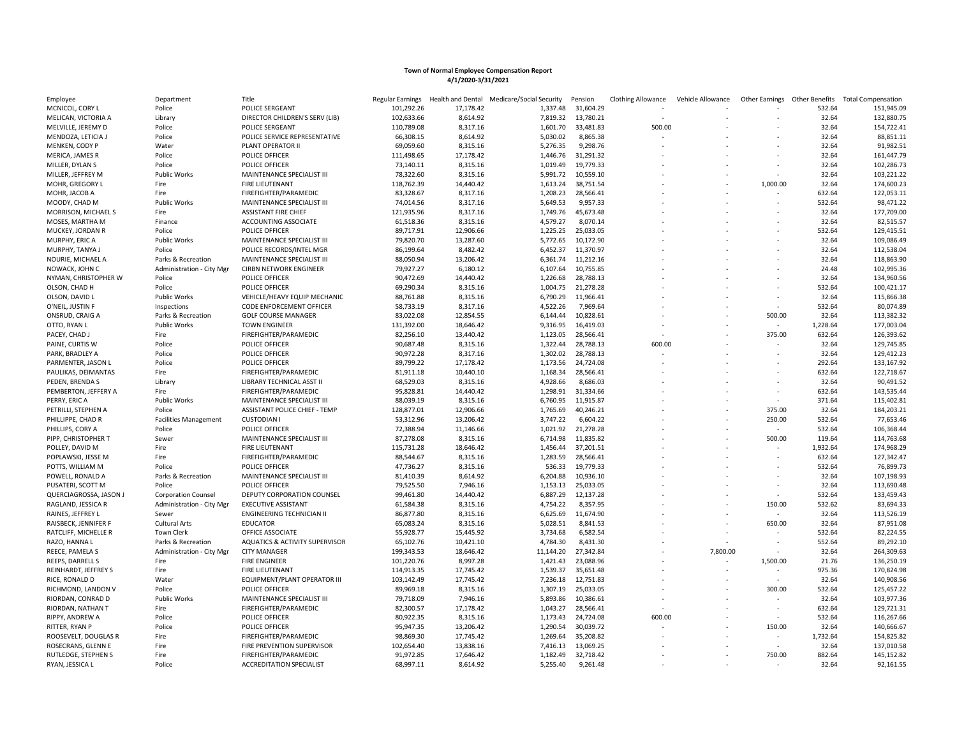| Employee               | Department                   | Title                                     | Regular Earnings | <b>Health and Dental</b> | Medicare/Social Security | Pension   | <b>Clothing Allowance</b> | Vehicle Allowance | Other Earnings | Other Benefits | <b>Total Compensation</b> |
|------------------------|------------------------------|-------------------------------------------|------------------|--------------------------|--------------------------|-----------|---------------------------|-------------------|----------------|----------------|---------------------------|
| MCNICOL, CORY L        | Police                       | POLICE SERGEANT                           | 101,292.26       | 17,178.42                | 1,337.48                 | 31,604.29 |                           |                   |                | 532.64         | 151,945.09                |
| MELICAN, VICTORIA A    | Library                      | DIRECTOR CHILDREN'S SERV (LIB)            | 102,633.66       | 8,614.92                 | 7,819.32                 | 13,780.21 |                           |                   |                | 32.64          | 132,880.75                |
| MELVILLE, JEREMY D     | Police                       | POLICE SERGEANT                           | 110,789.08       | 8,317.16                 | 1,601.70                 | 33,481.83 | 500.00                    |                   |                | 32.64          | 154,722.41                |
| MENDOZA, LETICIA J     | Police                       | POLICE SERVICE REPRESENTATIVE             | 66,308.15        | 8,614.92                 | 5,030.02                 | 8,865.38  |                           |                   |                | 32.64          | 88,851.11                 |
| MENKEN, CODY P         | Water                        | PLANT OPERATOR II                         | 69,059.60        | 8,315.16                 | 5,276.35                 | 9,298.76  |                           |                   |                | 32.64          | 91,982.51                 |
| MERICA, JAMES R        | Police                       | POLICE OFFICER                            | 111,498.65       | 17,178.42                | 1,446.76                 | 31,291.32 |                           |                   |                | 32.64          | 161,447.79                |
| MILLER, DYLAN S        | Police                       | POLICE OFFICER                            | 73,140.11        | 8,315.16                 | 1,019.49                 | 19,779.33 |                           |                   |                | 32.64          | 102,286.73                |
| MILLER, JEFFREY M      | <b>Public Works</b>          | MAINTENANCE SPECIALIST III                | 78,322.60        | 8,315.16                 | 5,991.72                 | 10,559.10 |                           |                   |                | 32.64          | 103,221.22                |
| MOHR, GREGORY L        | Fire                         | FIRE LIEUTENANT                           | 118,762.39       | 14,440.42                | 1,613.24                 | 38,751.54 |                           |                   | 1,000.00       | 32.64          | 174,600.23                |
| MOHR, JACOB A          | Fire                         | FIREFIGHTER/PARAMEDIC                     | 83,328.67        | 8,317.16                 | 1,208.23                 | 28,566.41 |                           |                   |                | 632.64         | 122,053.11                |
| MOODY, CHAD M          | <b>Public Works</b>          | MAINTENANCE SPECIALIST III                | 74,014.56        | 8,317.16                 | 5,649.53                 | 9,957.33  |                           |                   |                | 532.64         | 98,471.22                 |
| MORRISON, MICHAEL S    | Fire                         | <b>ASSISTANT FIRE CHIEF</b>               | 121,935.96       | 8,317.16                 | 1,749.76                 | 45,673.48 |                           |                   |                | 32.64          | 177,709.00                |
| MOSES, MARTHA M        | Finance                      | ACCOUNTING ASSOCIATE                      | 61,518.36        | 8,315.16                 | 4,579.27                 | 8,070.14  |                           |                   |                | 32.64          | 82,515.57                 |
| MUCKEY, JORDAN R       | Police                       | POLICE OFFICER                            | 89,717.91        | 12,906.66                | 1,225.25                 | 25,033.05 |                           |                   |                | 532.64         | 129,415.51                |
| MURPHY, ERIC A         | <b>Public Works</b>          | MAINTENANCE SPECIALIST III                | 79,820.70        | 13,287.60                | 5,772.65                 | 10,172.90 |                           |                   |                | 32.64          | 109,086.49                |
| MURPHY, TANYA J        | Police                       | POLICE RECORDS/INTEL MGR                  | 86,199.64        | 8,482.42                 | 6,452.37                 | 11,370.97 |                           |                   |                | 32.64          | 112,538.04                |
| NOURIE, MICHAEL A      | Parks & Recreation           | MAINTENANCE SPECIALIST III                | 88,050.94        | 13,206.42                | 6,361.74                 | 11,212.16 |                           |                   |                | 32.64          | 118,863.90                |
|                        |                              |                                           |                  |                          |                          |           |                           |                   |                |                |                           |
| NOWACK, JOHN C         | Administration - City Mgr    | <b>CIRBN NETWORK ENGINEER</b>             | 79,927.27        | 6,180.12                 | 6,107.64                 | 10,755.85 |                           |                   |                | 24.48          | 102,995.36                |
| NYMAN, CHRISTOPHER W   | Police                       | POLICE OFFICER                            | 90,472.69        | 14,440.42                | 1,226.68                 | 28,788.13 |                           |                   |                | 32.64          | 134,960.56                |
| OLSON, CHAD H          | Police                       | POLICE OFFICER                            | 69,290.34        | 8,315.16                 | 1,004.75                 | 21,278.28 |                           |                   |                | 532.64         | 100,421.17                |
| OLSON, DAVID L         | Public Works                 | VEHICLE/HEAVY EQUIP MECHANIC              | 88,761.88        | 8,315.16                 | 6,790.29                 | 11,966.41 |                           |                   |                | 32.64          | 115,866.38                |
| O'NEIL, JUSTIN F       | Inspections                  | CODE ENFORCEMENT OFFICER                  | 58,733.19        | 8,317.16                 | 4,522.26                 | 7,969.64  |                           |                   |                | 532.64         | 80,074.89                 |
| ONSRUD, CRAIG A        | Parks & Recreation           | <b>GOLF COURSE MANAGER</b>                | 83,022.08        | 12,854.55                | 6,144.44                 | 10,828.61 |                           |                   | 500.00         | 32.64          | 113,382.32                |
| OTTO, RYAN L           | <b>Public Works</b>          | <b>TOWN ENGINEER</b>                      | 131,392.00       | 18,646.42                | 9,316.95                 | 16,419.03 |                           |                   |                | 1,228.64       | 177,003.04                |
| PACEY, CHAD J          | Fire                         | FIREFIGHTER/PARAMEDIC                     | 82,256.10        | 13,440.42                | 1,123.05                 | 28,566.41 |                           |                   | 375.00         | 632.64         | 126,393.62                |
| PAINE, CURTIS W        | Police                       | POLICE OFFICER                            | 90,687.48        | 8,315.16                 | 1,322.44                 | 28,788.13 | 600.00                    |                   |                | 32.64          | 129,745.85                |
| PARK, BRADLEY A        | Police                       | POLICE OFFICER                            | 90,972.28        | 8,317.16                 | 1,302.02                 | 28,788.13 |                           |                   |                | 32.64          | 129,412.23                |
| PARMENTER, JASON L     | Police                       | POLICE OFFICER                            | 89,799.22        | 17,178.42                | 1,173.56                 | 24,724.08 |                           |                   |                | 292.64         | 133,167.92                |
| PAULIKAS, DEIMANTAS    | Fire                         | FIREFIGHTER/PARAMEDIC                     | 81,911.18        | 10,440.10                | 1,168.34                 | 28,566.41 |                           |                   |                | 632.64         | 122,718.67                |
| PEDEN, BRENDA S        | Library                      | LIBRARY TECHNICAL ASST II                 | 68,529.03        | 8,315.16                 | 4,928.66                 | 8,686.03  |                           |                   |                | 32.64          | 90,491.52                 |
| PEMBERTON, JEFFERY A   | Fire                         | FIREFIGHTER/PARAMEDIC                     | 95,828.81        | 14,440.42                | 1,298.91                 | 31,334.66 |                           |                   |                | 632.64         | 143,535.44                |
| PERRY, ERIC A          | <b>Public Works</b>          | MAINTENANCE SPECIALIST III                | 88,039.19        | 8,315.16                 | 6,760.95                 | 11,915.87 |                           |                   |                | 371.64         | 115,402.81                |
| PETRILLI, STEPHEN A    | Police                       | ASSISTANT POLICE CHIEF - TEMP             | 128,877.01       | 12,906.66                | 1,765.69                 | 40,246.21 |                           |                   | 375.00         | 32.64          | 184,203.21                |
| PHILLIPPE, CHAD R      | <b>Facilities Management</b> | <b>CUSTODIAN I</b>                        | 53,312.96        | 13,206.42                | 3,747.22                 | 6,604.22  |                           |                   | 250.00         | 532.64         | 77,653.46                 |
| PHILLIPS, CORY A       | Police                       | POLICE OFFICER                            | 72,388.94        | 11,146.66                | 1,021.92                 | 21,278.28 |                           |                   |                | 532.64         | 106,368.44                |
| PIPP, CHRISTOPHER T    | Sewer                        | MAINTENANCE SPECIALIST III                | 87,278.08        | 8,315.16                 | 6,714.98                 | 11,835.82 |                           |                   | 500.00         | 119.64         | 114,763.68                |
| POLLEY, DAVID M        | Fire                         | <b>FIRE LIEUTENANT</b>                    | 115,731.28       | 18,646.42                | 1,456.44                 | 37,201.51 |                           |                   |                | 1,932.64       | 174,968.29                |
| POPLAWSKI, JESSE M     | Fire                         | FIREFIGHTER/PARAMEDIC                     | 88,544.67        | 8,315.16                 | 1,283.59                 | 28,566.41 |                           |                   |                | 632.64         | 127,342.47                |
| POTTS, WILLIAM M       | Police                       | POLICE OFFICER                            | 47,736.27        | 8,315.16                 | 536.33                   | 19,779.33 |                           |                   |                | 532.64         | 76,899.73                 |
| POWELL, RONALD A       | Parks & Recreation           | MAINTENANCE SPECIALIST III                | 81,410.39        | 8,614.92                 | 6,204.88                 | 10,936.10 |                           |                   |                | 32.64          | 107,198.93                |
| PUSATERI, SCOTT M      | Police                       | POLICE OFFICER                            | 79,525.50        | 7,946.16                 | 1,153.13                 | 25,033.05 |                           |                   |                | 32.64          | 113,690.48                |
| QUERCIAGROSSA, JASON J | <b>Corporation Counsel</b>   | DEPUTY CORPORATION COUNSEL                | 99,461.80        | 14,440.42                | 6,887.29                 | 12,137.28 |                           |                   |                | 532.64         | 133,459.43                |
| RAGLAND, JESSICA R     | Administration - City Mgr    | <b>EXECUTIVE ASSISTANT</b>                | 61,584.38        | 8,315.16                 | 4,754.22                 | 8,357.95  |                           |                   | 150.00         | 532.62         | 83,694.33                 |
| RAINES, JEFFREY L      | Sewer                        | <b>ENGINEERING TECHNICIAN II</b>          | 86,877.80        | 8,315.16                 | 6,625.69                 | 11,674.90 |                           |                   |                | 32.64          | 113,526.19                |
| RAISBECK, JENNIFER F   | <b>Cultural Arts</b>         | <b>EDUCATOR</b>                           | 65,083.24        | 8,315.16                 | 5,028.51                 | 8,841.53  |                           |                   | 650.00         | 32.64          | 87,951.08                 |
| RATCLIFF, MICHELLE R   | <b>Town Clerk</b>            | OFFICE ASSOCIATE                          | 55,928.77        | 15,445.92                | 3,734.68                 | 6,582.54  |                           |                   |                | 532.64         | 82,224.55                 |
| RAZO, HANNA L          | Parks & Recreation           | <b>AQUATICS &amp; ACTIVITY SUPERVISOR</b> | 65,102.76        | 10,421.10                | 4,784.30                 | 8,431.30  |                           |                   |                | 552.64         | 89,292.10                 |
| REECE, PAMELA S        |                              | <b>CITY MANAGER</b>                       | 199,343.53       | 18,646.42                |                          | 27,342.84 |                           |                   |                | 32.64          |                           |
|                        | Administration - City Mgr    |                                           |                  |                          | 11,144.20                |           |                           | 7,800.00          |                |                | 264,309.63                |
| REEPS, DARRELL S       | Fire                         | <b>FIRE ENGINEER</b>                      | 101,220.76       | 8,997.28                 | 1,421.43                 | 23,088.96 |                           |                   | 1,500.00       | 21.76          | 136,250.19                |
| REINHARDT, JEFFREY S   | Fire                         | <b>FIRE LIEUTENANT</b>                    | 114,913.35       | 17,745.42                | 1,539.37                 | 35,651.48 |                           |                   |                | 975.36         | 170,824.98                |
| RICE, RONALD D         | Water                        | EQUIPMENT/PLANT OPERATOR III              | 103,142.49       | 17,745.42                | 7,236.18                 | 12,751.83 |                           |                   |                | 32.64          | 140,908.56                |
| RICHMOND, LANDON V     | Police                       | POLICE OFFICER                            | 89,969.18        | 8,315.16                 | 1,307.19                 | 25,033.05 |                           |                   | 300.00         | 532.64         | 125,457.22                |
| RIORDAN, CONRAD D      | <b>Public Works</b>          | MAINTENANCE SPECIALIST III                | 79,718.09        | 7,946.16                 | 5,893.86                 | 10,386.61 |                           |                   |                | 32.64          | 103,977.36                |
| RIORDAN, NATHAN T      | Fire                         | FIREFIGHTER/PARAMEDIC                     | 82,300.57        | 17,178.42                | 1,043.27                 | 28,566.41 |                           |                   |                | 632.64         | 129,721.31                |
| RIPPY, ANDREW A        | Police                       | POLICE OFFICER                            | 80,922.35        | 8,315.16                 | 1,173.43                 | 24,724.08 | 600.00                    |                   |                | 532.64         | 116,267.66                |
| RITTER, RYAN P         | Police                       | POLICE OFFICER                            | 95,947.35        | 13,206.42                | 1,290.54                 | 30,039.72 |                           |                   | 150.00         | 32.64          | 140,666.67                |
| ROOSEVELT, DOUGLAS R   | Fire                         | FIREFIGHTER/PARAMEDIC                     | 98,869.30        | 17,745.42                | 1,269.64                 | 35,208.82 |                           |                   |                | 1,732.64       | 154,825.82                |
| ROSECRANS, GLENN E     | Fire                         | FIRE PREVENTION SUPERVISOR                | 102,654.40       | 13,838.16                | 7,416.13                 | 13,069.25 |                           |                   |                | 32.64          | 137,010.58                |
| RUTLEDGE, STEPHEN S    | Fire                         | FIREFIGHTER/PARAMEDIC                     | 91.972.85        | 17,646.42                | 1.182.49                 | 32,718.42 |                           |                   | 750.00         | 882.64         | 145,152.82                |
| RYAN, JESSICA L        | Police                       | <b>ACCREDITATION SPECIALIST</b>           | 68,997.11        | 8,614.92                 | 5,255.40                 | 9,261.48  |                           |                   |                | 32.64          | 92,161.55                 |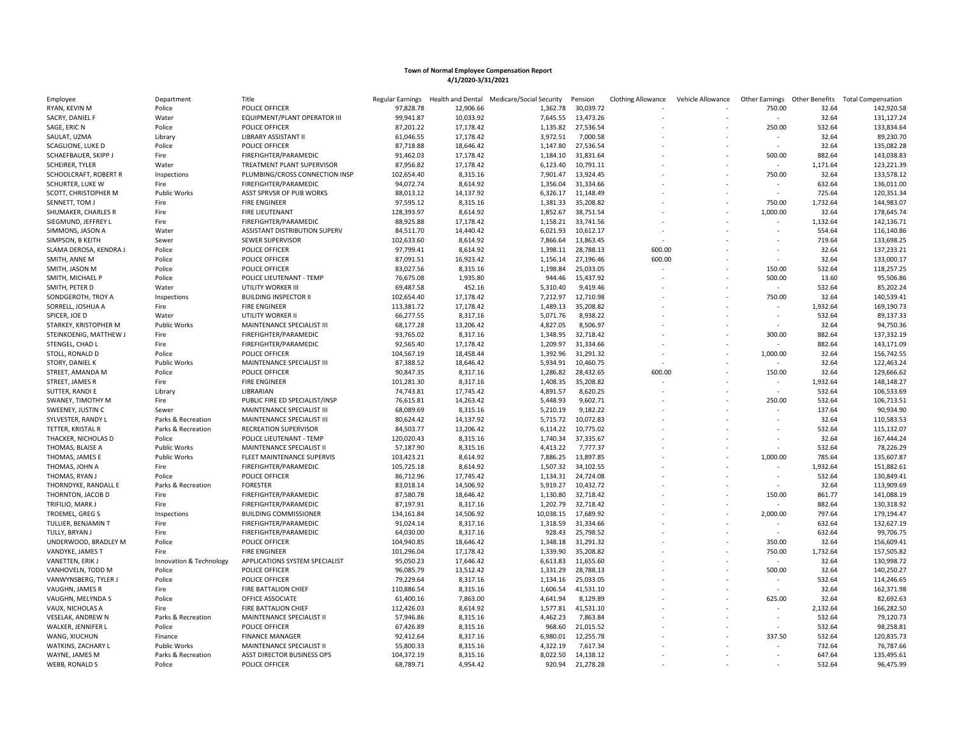| Employee                 | Department              | Title                          | Regular Earnings | Health and Dental | Medicare/Social Security | Pension   | <b>Clothing Allowance</b> | Vehicle Allowance | Other Earnings           | <b>Other Benefits</b> | <b>Total Compensation</b> |
|--------------------------|-------------------------|--------------------------------|------------------|-------------------|--------------------------|-----------|---------------------------|-------------------|--------------------------|-----------------------|---------------------------|
| RYAN, KEVIN M            | Police                  | POLICE OFFICER                 | 97,828.78        | 12,906.66         | 1,362.78                 | 30,039.72 |                           |                   | 750.00                   | 32.64                 | 142,920.58                |
| SACRY, DANIEL F          | Water                   | EQUIPMENT/PLANT OPERATOR III   | 99,941.87        | 10,033.92         | 7,645.55                 | 13,473.26 |                           |                   |                          | 32.64                 | 131,127.24                |
| SAGE, ERIC N             | Police                  | POLICE OFFICER                 | 87,201.22        | 17,178.42         | 1,135.82                 | 27,536.54 |                           |                   | 250.00                   | 532.64                | 133,834.64                |
| SAULAT, UZMA             | Library                 | LIBRARY ASSISTANT II           | 61,046.55        | 17,178.42         | 3,972.51                 | 7,000.58  |                           |                   |                          | 32.64                 | 89,230.70                 |
| SCAGLIONE, LUKE D        | Police                  | POLICE OFFICER                 | 87,718.88        | 18,646.42         | 1,147.80                 | 27,536.54 |                           |                   |                          | 32.64                 | 135,082.28                |
| SCHAEFBAUER, SKIPP J     | Fire                    | FIREFIGHTER/PARAMEDIC          | 91,462.03        | 17,178.42         | 1,184.10                 | 31,831.64 |                           |                   | 500.00                   | 882.64                | 143,038.83                |
| SCHEIRER, TYLER          | Water                   | TREATMENT PLANT SUPERVISOR     | 87,956.82        | 17,178.42         | 6,123.40                 | 10,791.11 |                           |                   | $\sim$                   | 1,171.64              | 123,221.39                |
| SCHOOLCRAFT, ROBERT R    | Inspections             | PLUMBING/CROSS CONNECTION INSP | 102,654.40       | 8,315.16          | 7,901.47                 | 13,924.45 |                           |                   | 750.00                   | 32.64                 | 133,578.12                |
| SCHURTER, LUKE W         | Fire                    | FIREFIGHTER/PARAMEDIC          | 94,072.74        | 8,614.92          | 1,356.04                 | 31,334.66 |                           |                   |                          | 632.64                | 136,011.00                |
| SCOTT, CHRISTOPHER M     | <b>Public Works</b>     | ASST SPRVSR OF PUB WORKS       | 88,013.12        | 14,137.92         | 6,326.17                 | 11,148.49 |                           |                   |                          | 725.64                | 120,351.34                |
| SENNETT, TOM J           | Fire                    | <b>FIRE ENGINEER</b>           | 97,595.12        | 8,315.16          | 1,381.33                 | 35,208.82 |                           |                   | 750.00                   | 1,732.64              | 144,983.07                |
| SHUMAKER, CHARLES R      | Fire                    | <b>FIRE LIEUTENANT</b>         | 128,393.97       | 8,614.92          | 1,852.67                 | 38,751.54 |                           |                   | 1,000.00                 | 32.64                 | 178,645.74                |
| SIEGMUND, JEFFREY L      | Fire                    | FIREFIGHTER/PARAMEDIC          | 88,925.88        | 17,178.42         | 1,158.21                 | 33,741.56 |                           |                   | $\sim$                   | 1,132.64              | 142,136.71                |
| SIMMONS, JASON A         | Water                   | ASSISTANT DISTRIBUTION SUPERV  | 84,511.70        | 14,440.42         | 6,021.93                 | 10,612.17 |                           |                   |                          | 554.64                | 116,140.86                |
| SIMPSON, B KEITH         | Sewer                   | SEWER SUPERVISOR               | 102,633.60       | 8,614.92          | 7,866.64                 | 13,863.45 |                           |                   |                          | 719.64                | 133,698.25                |
| SLAMA DEROSA, KENDRA J   | Police                  | POLICE OFFICER                 | 97,799.41        | 8,614.92          | 1,398.11                 | 28,788.13 | 600.00                    |                   |                          | 32.64                 | 137,233.21                |
| SMITH, ANNE M            | Police                  | POLICE OFFICER                 | 87,091.51        | 16,923.42         | 1,156.14                 | 27,196.46 | 600.00                    |                   |                          | 32.64                 | 133,000.17                |
| SMITH, JASON M           | Police                  | POLICE OFFICER                 | 83,027.56        | 8,315.16          | 1,198.84                 | 25,033.05 |                           |                   | 150.00                   | 532.64                | 118,257.25                |
| SMITH, MICHAEL P         | Police                  | POLICE LIEUTENANT - TEMP       | 76,675.08        | 1,935.80          | 944.46                   | 15,437.92 |                           |                   | 500.00                   | 13.60                 | 95,506.86                 |
| SMITH, PETER D           | Water                   | UTILITY WORKER III             | 69,487.58        | 452.16            | 5,310.40                 | 9,419.46  |                           |                   | $\sim$                   | 532.64                | 85,202.24                 |
|                          |                         | <b>BUILDING INSPECTOR II</b>   |                  | 17,178.42         |                          | 12,710.98 |                           |                   | 750.00                   | 32.64                 | 140,539.41                |
| SONDGEROTH, TROY A       | Inspections             |                                | 102,654.40       |                   | 7,212.97                 |           |                           |                   |                          |                       |                           |
| SORRELL, JOSHUA A        | Fire                    | <b>FIRE ENGINEER</b>           | 113,381.72       | 17,178.42         | 1,489.13                 | 35,208.82 |                           |                   |                          | 1,932.64              | 169,190.73                |
| SPICER, JOE D            | Water                   | UTILITY WORKER II              | 66,277.55        | 8,317.16          | 5,071.76                 | 8,938.22  |                           |                   |                          | 532.64                | 89,137.33                 |
| STARKEY, KRISTOPHER M    | <b>Public Works</b>     | MAINTENANCE SPECIALIST III     | 68,177.28        | 13,206.42         | 4,827.05                 | 8,506.97  |                           |                   |                          | 32.64                 | 94,750.36                 |
| STEINKOENIG, MATTHEW J   | Fire                    | FIREFIGHTER/PARAMEDIC          | 93,765.02        | 8,317.16          | 1,348.95                 | 32,718.42 |                           |                   | 300.00                   | 882.64                | 137,332.19                |
| STENGEL, CHAD L          | Fire                    | FIREFIGHTER/PARAMEDIC          | 92,565.40        | 17,178.42         | 1,209.97                 | 31,334.66 |                           |                   |                          | 882.64                | 143,171.09                |
| STOLL, RONALD D          | Police                  | POLICE OFFICER                 | 104,567.19       | 18,458.44         | 1,392.96                 | 31,291.32 |                           |                   | 1,000.00                 | 32.64                 | 156,742.55                |
| STORY, DANIEL K          | <b>Public Works</b>     | MAINTENANCE SPECIALIST III     | 87,388.52        | 18,646.42         | 5,934.91                 | 10,460.75 |                           |                   |                          | 32.64                 | 122,463.24                |
| STREET, AMANDA M         | Police                  | POLICE OFFICER                 | 90,847.35        | 8,317.16          | 1,286.82                 | 28,432.65 | 600.00                    |                   | 150.00                   | 32.64                 | 129,666.62                |
| STREET, JAMES R          | Fire                    | <b>FIRE ENGINEER</b>           | 101,281.30       | 8,317.16          | 1,408.35                 | 35,208.82 |                           |                   | $\sim$                   | 1,932.64              | 148,148.27                |
| SUTTER, RANDI E          | Library                 | LIBRARIAN                      | 74,743.81        | 17,745.42         | 4,891.57                 | 8,620.25  |                           |                   |                          | 532.64                | 106,533.69                |
| SWANEY, TIMOTHY M        | Fire                    | PUBLIC FIRE ED SPECIALIST/INSP | 76,615.81        | 14,263.42         | 5,448.93                 | 9,602.71  |                           |                   | 250.00                   | 532.64                | 106,713.51                |
| SWEENEY, JUSTIN C        | Sewer                   | MAINTENANCE SPECIALIST III     | 68,089.69        | 8,315.16          | 5,210.19                 | 9,182.22  |                           |                   |                          | 137.64                | 90,934.90                 |
| SYLVESTER, RANDY L       | Parks & Recreation      | MAINTENANCE SPECIALIST III     | 80,624.42        | 14,137.92         | 5,715.72                 | 10,072.83 |                           |                   |                          | 32.64                 | 110,583.53                |
| TETTER, KRISTAL R        | Parks & Recreation      | <b>RECREATION SUPERVISOR</b>   | 84,503.77        | 13,206.42         | 6,114.22                 | 10,775.02 |                           |                   |                          | 532.64                | 115,132.07                |
| THACKER, NICHOLAS D      | Police                  | POLICE LIEUTENANT - TEMP       | 120,020.43       | 8,315.16          | 1,740.34                 | 37,335.67 |                           |                   |                          | 32.64                 | 167,444.24                |
| THOMAS, BLAISE A         | <b>Public Works</b>     | MAINTENANCE SPECIALIST II      | 57,187.90        | 8,315.16          | 4,413.22                 | 7,777.37  |                           |                   |                          | 532.64                | 78,226.29                 |
| THOMAS, JAMES E          | <b>Public Works</b>     | FLEET MAINTENANCE SUPERVIS     | 103,423.21       | 8,614.92          | 7,886.25                 | 13,897.85 |                           |                   | 1,000.00                 | 785.64                | 135,607.87                |
| THOMAS, JOHN A           | Fire                    | FIREFIGHTER/PARAMEDIC          | 105,725.18       | 8,614.92          | 1,507.32                 | 34,102.55 |                           |                   |                          | 1,932.64              | 151,882.61                |
| THOMAS, RYAN J           | Police                  | POLICE OFFICER                 | 86,712.96        | 17,745.42         | 1,134.31                 | 24,724.08 |                           |                   |                          | 532.64                | 130,849.41                |
| THORNDYKE, RANDALL E     | Parks & Recreation      | <b>FORESTER</b>                | 83,018.14        | 14,506.92         | 5,919.27                 | 10,432.72 |                           |                   |                          | 32.64                 | 113,909.69                |
| THORNTON, JACOB D        | Fire                    | FIREFIGHTER/PARAMEDIC          | 87,580.78        | 18,646.42         | 1,130.80                 | 32,718.42 |                           |                   | 150.00                   | 861.77                | 141,088.19                |
| TRIFILIO, MARK J         | Fire                    | FIREFIGHTER/PARAMEDIC          | 87,197.91        | 8,317.16          | 1,202.79                 | 32,718.42 |                           |                   |                          | 882.64                | 130,318.92                |
| TROEMEL, GREG S          | Inspections             | <b>BUILDING COMMISSIONER</b>   | 134,161.84       | 14,506.92         | 10,038.15                | 17,689.92 |                           |                   | 2,000.00                 | 797.64                | 179,194.47                |
| TULLIER, BENJAMIN T      | Fire                    | FIREFIGHTER/PARAMEDIC          | 91,024.14        | 8,317.16          | 1,318.59                 | 31,334.66 |                           |                   |                          | 632.64                | 132,627.19                |
| TULLY, BRYAN J           | Fire                    | FIREFIGHTER/PARAMEDIC          | 64,030.00        | 8,317.16          | 928.43                   | 25,798.52 |                           |                   | ×.                       | 632.64                | 99,706.75                 |
| UNDERWOOD, BRADLEY M     | Police                  | POLICE OFFICER                 | 104,940.85       | 18,646.42         | 1,348.18                 | 31,291.32 |                           |                   | 350.00                   | 32.64                 | 156,609.41                |
| VANDYKE, JAMES T         | Fire                    | <b>FIRE ENGINEER</b>           | 101,296.04       | 17,178.42         | 1,339.90                 | 35,208.82 |                           |                   | 750.00                   | 1,732.64              | 157,505.82                |
| VANETTEN, ERIK J         | Innovation & Technology | APPLICATIONS SYSTEM SPECIALIST | 95,050.23        | 17,646.42         | 6,613.83                 | 11,655.60 |                           |                   |                          | 32.64                 | 130,998.72                |
| VANHOVELN, TODD M        | Police                  | POLICE OFFICER                 | 96,085.79        | 13,512.42         | 1,331.29                 | 28,788.13 |                           |                   | 500.00                   | 32.64                 | 140,250.27                |
| VANWYNSBERG, TYLER J     | Police                  | POLICE OFFICER                 | 79,229.64        | 8,317.16          | 1,134.16                 | 25,033.05 |                           |                   |                          | 532.64                | 114,246.65                |
| VAUGHN, JAMES R          | Fire                    | FIRE BATTALION CHIEF           | 110,886.54       | 8,315.16          | 1,606.54                 | 41,531.10 |                           |                   | $\sim$                   | 32.64                 | 162,371.98                |
| VAUGHN, MELYNDA S        | Police                  | OFFICE ASSOCIATE               | 61,400.16        | 7,863.00          | 4,641.94                 | 8,129.89  |                           |                   | 625.00                   | 32.64                 | 82,692.63                 |
| VAUX, NICHOLAS A         | Fire                    | FIRE BATTALION CHIEF           | 112,426.03       | 8,614.92          | 1,577.81                 | 41,531.10 |                           |                   |                          | 2,132.64              | 166,282.50                |
| <b>VESELAK, ANDREW N</b> | Parks & Recreation      | MAINTENANCE SPECIALIST II      | 57,946.86        | 8,315.16          | 4,462.23                 | 7,863.84  |                           |                   |                          | 532.64                | 79,120.73                 |
| WALKER, JENNIFER L       | Police                  | POLICE OFFICER                 | 67,426.89        | 8,315.16          | 968.60                   | 21,015.52 |                           |                   | $\overline{\phantom{a}}$ | 532.64                | 98,258.81                 |
| WANG, XIUCHUN            | Finance                 | <b>FINANCE MANAGER</b>         | 92,412.64        | 8,317.16          | 6,980.01                 | 12,255.78 |                           |                   | 337.50                   | 532.64                | 120,835.73                |
| WATKINS, ZACHARY L       | Public Works            | MAINTENANCE SPECIALIST II      | 55,800.33        | 8,315.16          | 4,322.19                 | 7,617.34  |                           |                   |                          | 732.64                | 76,787.66                 |
| WAYNE, JAMES M           | Parks & Recreation      | ASST DIRECTOR BUSINESS OPS     | 104,372.19       | 8,315.16          | 8,022.50                 | 14,138.12 |                           |                   |                          | 647.64                | 135,495.61                |
| WEBB, RONALD S           | Police                  | POLICE OFFICER                 | 68,789.71        | 4,954.42          | 920.94                   | 21,278.28 |                           |                   |                          | 532.64                | 96,475.99                 |
|                          |                         |                                |                  |                   |                          |           |                           |                   |                          |                       |                           |